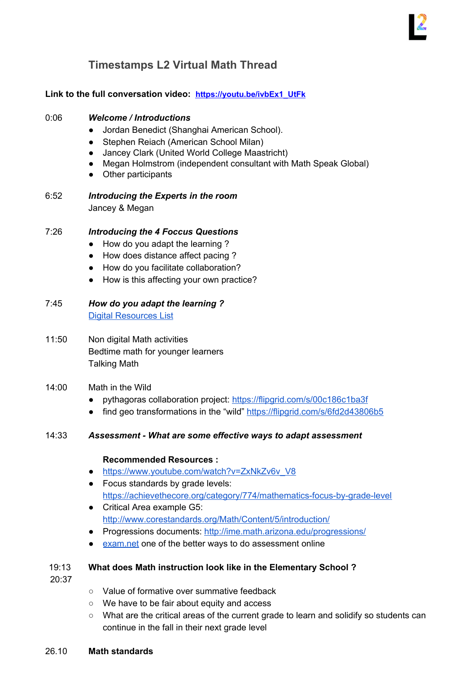# **Timestamps L2 Virtual Math Thread**

# **Link to the full conversation video: [https://youtu.be/ivbEx1\\_UtFk](https://youtu.be/ivbEx1_UtFk)**

#### 0:06 *Welcome / Introductions*

- Jordan Benedict (Shanghai American School).
- Stephen Reiach (American School Milan)
- Jancey Clark (United World College Maastricht)
- Megan Holmstrom (independent consultant with Math Speak Global)
- Other participants
- 6:52 *Introducing the Experts in the room* Jancey & Megan

## 7:26 *Introducing the 4 Foccus Questions*

- How do you adapt the learning ?
- How does distance affect pacing ?
- How do you facilitate collaboration?
- How is this affecting your own practice?

7:45 *How do you adapt the learning ?* Digital [Resources](http://learning2.org/learning-at-home-resources/) List

- 11:50 Non digital Math activities Bedtime math for younger learners Talking Math
- 14:00 Math in the Wild
	- pythagoras collaboration project: <https://flipgrid.com/s/00c186c1ba3f>
	- find geo transformations in the "wild" <https://flipgrid.com/s/6fd2d43806b5>

## 14:33 *Assessment - What are some effective ways to adapt assessment*

#### **Recommended Resources :**

- [https://www.youtube.com/watch?v=ZxNkZv6v\\_V8](https://www.youtube.com/watch?v=ZxNkZv6v_V8)
- Focus standards by grade levels: <https://achievethecore.org/category/774/mathematics-focus-by-grade-level>
- Critical Area example G5: <http://www.corestandards.org/Math/Content/5/introduction/>
- Progressions documents: <http://ime.math.arizona.edu/progressions/>
- [exam.net](https://exam.net/) one of the better ways to do assessment online

#### 19:13 **What does Math instruction look like in the Elementary School ?**

20:37

- Value of formative over summative feedback
- We have to be fair about equity and access
- What are the critical areas of the current grade to learn and solidify so students can continue in the fall in their next grade level